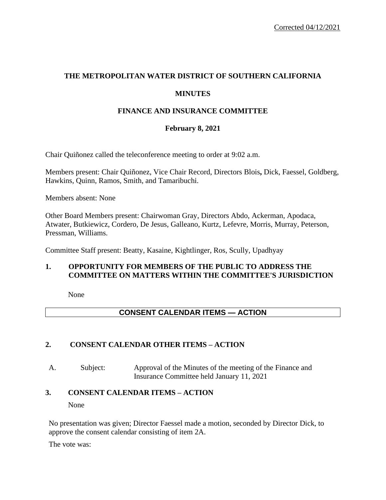# **THE METROPOLITAN WATER DISTRICT OF SOUTHERN CALIFORNIA**

### **MINUTES**

### **FINANCE AND INSURANCE COMMITTEE**

### **February 8, 2021**

Chair Quiñonez called the teleconference meeting to order at 9:02 a.m.

Members present: Chair Quiñonez, Vice Chair Record, Directors Blois**,** Dick, Faessel, Goldberg, Hawkins, Quinn, Ramos, Smith, and Tamaribuchi.

Members absent: None

Other Board Members present: Chairwoman Gray, Directors Abdo, Ackerman, Apodaca, Atwater, Butkiewicz, Cordero, De Jesus, Galleano, Kurtz, Lefevre, Morris, Murray, Peterson, Pressman, Williams.

Committee Staff present: Beatty, Kasaine, Kightlinger, Ros, Scully, Upadhyay

### **1. OPPORTUNITY FOR MEMBERS OF THE PUBLIC TO ADDRESS THE COMMITTEE ON MATTERS WITHIN THE COMMITTEE'S JURISDICTION**

None

## **CONSENT CALENDAR ITEMS — ACTION**

#### **2. CONSENT CALENDAR OTHER ITEMS – ACTION**

A. Subject: Approval of the Minutes of the meeting of the Finance and Insurance Committee held January 11, 2021

#### **3. CONSENT CALENDAR ITEMS – ACTION**

None

No presentation was given; Director Faessel made a motion, seconded by Director Dick, to approve the consent calendar consisting of item 2A.

The vote was: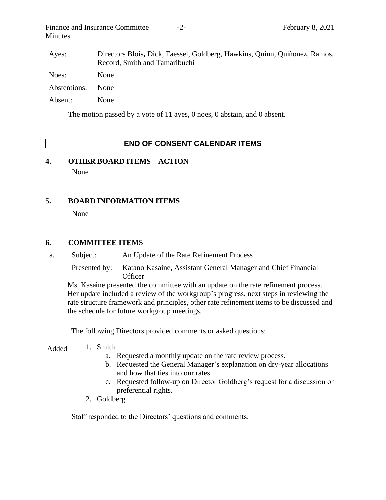Finance and Insurance Committee  $-2$ - February 8, 2021 **Minutes** 

| Ayes:        | Directors Blois, Dick, Faessel, Goldberg, Hawkins, Quinn, Quiñonez, Ramos,<br>Record, Smith and Tamaribuchi |
|--------------|-------------------------------------------------------------------------------------------------------------|
| Noes:        | <b>None</b>                                                                                                 |
| Abstentions: | <b>None</b>                                                                                                 |
| Absent:      | <b>None</b>                                                                                                 |
|              |                                                                                                             |

The motion passed by a vote of 11 ayes, 0 noes, 0 abstain, and 0 absent.

## **END OF CONSENT CALENDAR ITEMS**

## **4. OTHER BOARD ITEMS – ACTION**

None

## **5. BOARD INFORMATION ITEMS**

None

## **6. COMMITTEE ITEMS**

a. Subject: An Update of the Rate Refinement Process

Presented by: Katano Kasaine, Assistant General Manager and Chief Financial **Officer** 

Ms. Kasaine presented the committee with an update on the rate refinement process. Her update included a review of the workgroup's progress, next steps in reviewing the rate structure framework and principles, other rate refinement items to be discussed and the schedule for future workgroup meetings.

The following Directors provided comments or asked questions:

- 1. Smith Added
	- a. Requested a monthly update on the rate review process.
	- b. Requested the General Manager's explanation on dry-year allocations and how that ties into our rates.
	- c. Requested follow-up on Director Goldberg's request for a discussion on preferential rights.
	- 2. Goldberg

Staff responded to the Directors' questions and comments.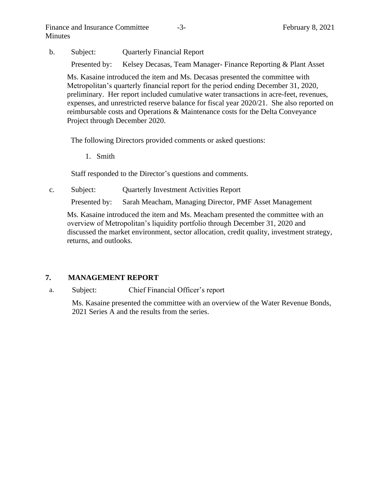b. Subject: Quarterly Financial Report

Presented by: Kelsey Decasas, Team Manager-Finance Reporting & Plant Asset

Ms. Kasaine introduced the item and Ms. Decasas presented the committee with Metropolitan's quarterly financial report for the period ending December 31, 2020, preliminary. Her report included cumulative water transactions in acre-feet, revenues, expenses, and unrestricted reserve balance for fiscal year 2020/21. She also reported on reimbursable costs and Operations & Maintenance costs for the Delta Conveyance Project through December 2020.

The following Directors provided comments or asked questions:

1. Smith

Staff responded to the Director's questions and comments.

c. Subject: Quarterly Investment Activities Report

Presented by: Sarah Meacham, Managing Director, PMF Asset Management

Ms. Kasaine introduced the item and Ms. Meacham presented the committee with an overview of Metropolitan's liquidity portfolio through December 31, 2020 and discussed the market environment, sector allocation, credit quality, investment strategy, returns, and outlooks.

#### **7. MANAGEMENT REPORT**

#### a. Subject: Chief Financial Officer's report

Ms. Kasaine presented the committee with an overview of the Water Revenue Bonds, 2021 Series A and the results from the series.